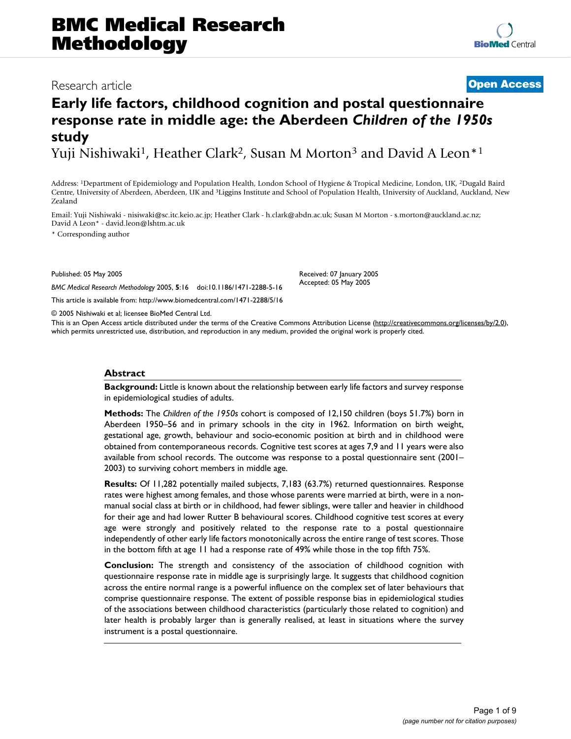# **BMC Medical Research Methodology**

### Research article **[Open Access](http://www.biomedcentral.com/info/about/charter/)**

## **Early life factors, childhood cognition and postal questionnaire response rate in middle age: the Aberdeen** *Children of the 1950s*  **study**

Yuji Nishiwaki<sup>1</sup>, Heather Clark<sup>2</sup>, Susan M Morton<sup>3</sup> and David A Leon<sup>\*1</sup>

Address: 1Department of Epidemiology and Population Health, London School of Hygiene & Tropical Medicine, London, UK, 2Dugald Baird Centre, University of Aberdeen, Aberdeen, UK and 3Liggins Institute and School of Population Health, University of Auckland, Auckland, New Zealand

Email: Yuji Nishiwaki - nisiwaki@sc.itc.keio.ac.jp; Heather Clark - h.clark@abdn.ac.uk; Susan M Morton - s.morton@auckland.ac.nz; David A Leon\* - david.leon@lshtm.ac.uk

\* Corresponding author

Published: 05 May 2005

*BMC Medical Research Methodology* 2005, **5**:16 doi:10.1186/1471-2288-5-16 Received: 07 January 2005 Accepted: 05 May 2005

[This article is available from: http://www.biomedcentral.com/1471-2288/5/16](http://www.biomedcentral.com/1471-2288/5/16)

© 2005 Nishiwaki et al; licensee BioMed Central Ltd.

This is an Open Access article distributed under the terms of the Creative Commons Attribution License [\(http://creativecommons.org/licenses/by/2.0\)](http://creativecommons.org/licenses/by/2.0), which permits unrestricted use, distribution, and reproduction in any medium, provided the original work is properly cited.

#### **Abstract**

**Background:** Little is known about the relationship between early life factors and survey response in epidemiological studies of adults.

**Methods:** The *Children of the 1950s* cohort is composed of 12,150 children (boys 51.7%) born in Aberdeen 1950–56 and in primary schools in the city in 1962. Information on birth weight, gestational age, growth, behaviour and socio-economic position at birth and in childhood were obtained from contemporaneous records. Cognitive test scores at ages 7,9 and 11 years were also available from school records. The outcome was response to a postal questionnaire sent (2001– 2003) to surviving cohort members in middle age.

**Results:** Of 11,282 potentially mailed subjects, 7,183 (63.7%) returned questionnaires. Response rates were highest among females, and those whose parents were married at birth, were in a nonmanual social class at birth or in childhood, had fewer siblings, were taller and heavier in childhood for their age and had lower Rutter B behavioural scores. Childhood cognitive test scores at every age were strongly and positively related to the response rate to a postal questionnaire independently of other early life factors monotonically across the entire range of test scores. Those in the bottom fifth at age 11 had a response rate of 49% while those in the top fifth 75%.

**Conclusion:** The strength and consistency of the association of childhood cognition with questionnaire response rate in middle age is surprisingly large. It suggests that childhood cognition across the entire normal range is a powerful influence on the complex set of later behaviours that comprise questionnaire response. The extent of possible response bias in epidemiological studies of the associations between childhood characteristics (particularly those related to cognition) and later health is probably larger than is generally realised, at least in situations where the survey instrument is a postal questionnaire.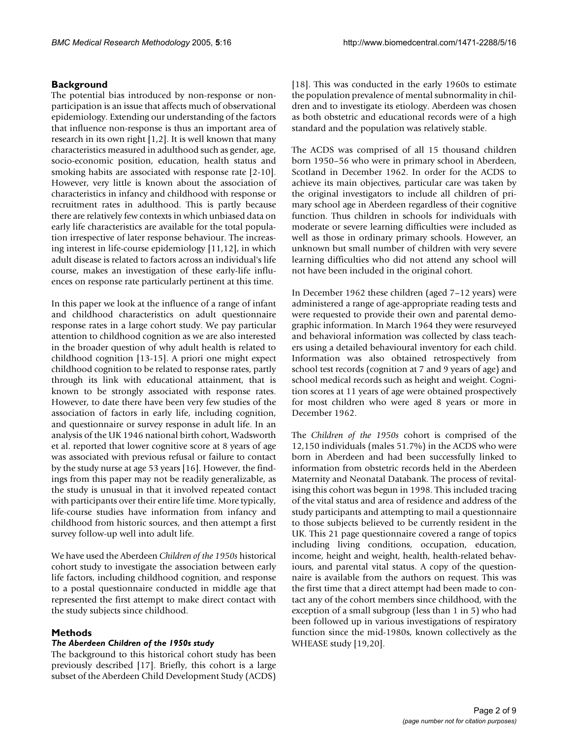### **Background**

The potential bias introduced by non-response or nonparticipation is an issue that affects much of observational epidemiology. Extending our understanding of the factors that influence non-response is thus an important area of research in its own right [1,2]. It is well known that many characteristics measured in adulthood such as gender, age, socio-economic position, education, health status and smoking habits are associated with response rate [2-10]. However, very little is known about the association of characteristics in infancy and childhood with response or recruitment rates in adulthood. This is partly because there are relatively few contexts in which unbiased data on early life characteristics are available for the total population irrespective of later response behaviour. The increasing interest in life-course epidemiology [11,12], in which adult disease is related to factors across an individual's life course, makes an investigation of these early-life influences on response rate particularly pertinent at this time.

In this paper we look at the influence of a range of infant and childhood characteristics on adult questionnaire response rates in a large cohort study. We pay particular attention to childhood cognition as we are also interested in the broader question of why adult health is related to childhood cognition [13-15]. A priori one might expect childhood cognition to be related to response rates, partly through its link with educational attainment, that is known to be strongly associated with response rates. However, to date there have been very few studies of the association of factors in early life, including cognition, and questionnaire or survey response in adult life. In an analysis of the UK 1946 national birth cohort, Wadsworth et al. reported that lower cognitive score at 8 years of age was associated with previous refusal or failure to contact by the study nurse at age 53 years [16]. However, the findings from this paper may not be readily generalizable, as the study is unusual in that it involved repeated contact with participants over their entire life time. More typically, life-course studies have information from infancy and childhood from historic sources, and then attempt a first survey follow-up well into adult life.

We have used the Aberdeen *Children of the 1950s* historical cohort study to investigate the association between early life factors, including childhood cognition, and response to a postal questionnaire conducted in middle age that represented the first attempt to make direct contact with the study subjects since childhood.

#### **Methods**

#### *The Aberdeen Children of the 1950s study*

The background to this historical cohort study has been previously described [17]. Briefly, this cohort is a large subset of the Aberdeen Child Development Study (ACDS)

[18]. This was conducted in the early 1960s to estimate the population prevalence of mental subnormality in children and to investigate its etiology. Aberdeen was chosen as both obstetric and educational records were of a high standard and the population was relatively stable.

The ACDS was comprised of all 15 thousand children born 1950–56 who were in primary school in Aberdeen, Scotland in December 1962. In order for the ACDS to achieve its main objectives, particular care was taken by the original investigators to include all children of primary school age in Aberdeen regardless of their cognitive function. Thus children in schools for individuals with moderate or severe learning difficulties were included as well as those in ordinary primary schools. However, an unknown but small number of children with very severe learning difficulties who did not attend any school will not have been included in the original cohort.

In December 1962 these children (aged 7–12 years) were administered a range of age-appropriate reading tests and were requested to provide their own and parental demographic information. In March 1964 they were resurveyed and behavioral information was collected by class teachers using a detailed behavioural inventory for each child. Information was also obtained retrospectively from school test records (cognition at 7 and 9 years of age) and school medical records such as height and weight. Cognition scores at 11 years of age were obtained prospectively for most children who were aged 8 years or more in December 1962.

The *Children of the 1950s* cohort is comprised of the 12,150 individuals (males 51.7%) in the ACDS who were born in Aberdeen and had been successfully linked to information from obstetric records held in the Aberdeen Maternity and Neonatal Databank. The process of revitalising this cohort was begun in 1998. This included tracing of the vital status and area of residence and address of the study participants and attempting to mail a questionnaire to those subjects believed to be currently resident in the UK. This 21 page questionnaire covered a range of topics including living conditions, occupation, education, income, height and weight, health, health-related behaviours, and parental vital status. A copy of the questionnaire is available from the authors on request. This was the first time that a direct attempt had been made to contact any of the cohort members since childhood, with the exception of a small subgroup (less than 1 in 5) who had been followed up in various investigations of respiratory function since the mid-1980s, known collectively as the WHEASE study [19,20].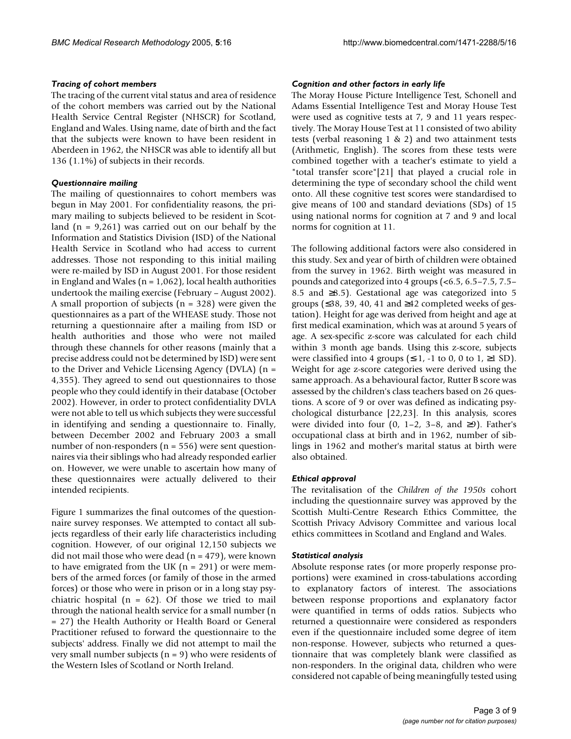#### *Tracing of cohort members*

The tracing of the current vital status and area of residence of the cohort members was carried out by the National Health Service Central Register (NHSCR) for Scotland, England and Wales. Using name, date of birth and the fact that the subjects were known to have been resident in Aberdeen in 1962, the NHSCR was able to identify all but 136 (1.1%) of subjects in their records.

#### *Questionnaire mailing*

The mailing of questionnaires to cohort members was begun in May 2001. For confidentiality reasons, the primary mailing to subjects believed to be resident in Scotland  $(n = 9,261)$  was carried out on our behalf by the Information and Statistics Division (ISD) of the National Health Service in Scotland who had access to current addresses. Those not responding to this initial mailing were re-mailed by ISD in August 2001. For those resident in England and Wales ( $n = 1,062$ ), local health authorities undertook the mailing exercise (February – August 2002). A small proportion of subjects ( $n = 328$ ) were given the questionnaires as a part of the WHEASE study. Those not returning a questionnaire after a mailing from ISD or health authorities and those who were not mailed through these channels for other reasons (mainly that a precise address could not be determined by ISD) were sent to the Driver and Vehicle Licensing Agency (DVLA) (n = 4,355). They agreed to send out questionnaires to those people who they could identify in their database (October 2002). However, in order to protect confidentiality DVLA were not able to tell us which subjects they were successful in identifying and sending a questionnaire to. Finally, between December 2002 and February 2003 a small number of non-responders ( $n = 556$ ) were sent questionnaires via their siblings who had already responded earlier on. However, we were unable to ascertain how many of these questionnaires were actually delivered to their intended recipients.

Figure [1](#page-3-0) summarizes the final outcomes of the questionnaire survey responses. We attempted to contact all subjects regardless of their early life characteristics including cognition. However, of our original 12,150 subjects we did not mail those who were dead  $(n = 479)$ , were known to have emigrated from the UK  $(n = 291)$  or were members of the armed forces (or family of those in the armed forces) or those who were in prison or in a long stay psychiatric hospital ( $n = 62$ ). Of those we tried to mail through the national health service for a small number (n = 27) the Health Authority or Health Board or General Practitioner refused to forward the questionnaire to the subjects' address. Finally we did not attempt to mail the very small number subjects  $(n = 9)$  who were residents of the Western Isles of Scotland or North Ireland.

#### *Cognition and other factors in early life*

The Moray House Picture Intelligence Test, Schonell and Adams Essential Intelligence Test and Moray House Test were used as cognitive tests at 7, 9 and 11 years respectively. The Moray House Test at 11 consisted of two ability tests (verbal reasoning 1 & 2) and two attainment tests (Arithmetic, English). The scores from these tests were combined together with a teacher's estimate to yield a "total transfer score"[21] that played a crucial role in determining the type of secondary school the child went onto. All these cognitive test scores were standardised to give means of 100 and standard deviations (SDs) of 15 using national norms for cognition at 7 and 9 and local norms for cognition at 11.

The following additional factors were also considered in this study. Sex and year of birth of children were obtained from the survey in 1962. Birth weight was measured in pounds and categorized into 4 groups (<6.5, 6.5–7.5, 7.5– 8.5 and ≥8.5). Gestational age was categorized into 5 groups (≤38, 39, 40, 41 and ≥42 completed weeks of gestation). Height for age was derived from height and age at first medical examination, which was at around 5 years of age. A sex-specific z-score was calculated for each child within 3 month age bands. Using this z-score, subjects were classified into 4 groups ( $\leq$ -1, -1 to 0, 0 to 1,  $\geq$ 1 SD). Weight for age z-score categories were derived using the same approach. As a behavioural factor, Rutter B score was assessed by the children's class teachers based on 26 questions. A score of 9 or over was defined as indicating psychological disturbance [22,23]. In this analysis, scores were divided into four  $(0, 1-2, 3-8,$  and  $\geq 9$ ). Father's occupational class at birth and in 1962, number of siblings in 1962 and mother's marital status at birth were also obtained.

#### *Ethical approval*

The revitalisation of the *Children of the 1950s* cohort including the questionnaire survey was approved by the Scottish Multi-Centre Research Ethics Committee, the Scottish Privacy Advisory Committee and various local ethics committees in Scotland and England and Wales.

#### *Statistical analysis*

Absolute response rates (or more properly response proportions) were examined in cross-tabulations according to explanatory factors of interest. The associations between response proportions and explanatory factor were quantified in terms of odds ratios. Subjects who returned a questionnaire were considered as responders even if the questionnaire included some degree of item non-response. However, subjects who returned a questionnaire that was completely blank were classified as non-responders. In the original data, children who were considered not capable of being meaningfully tested using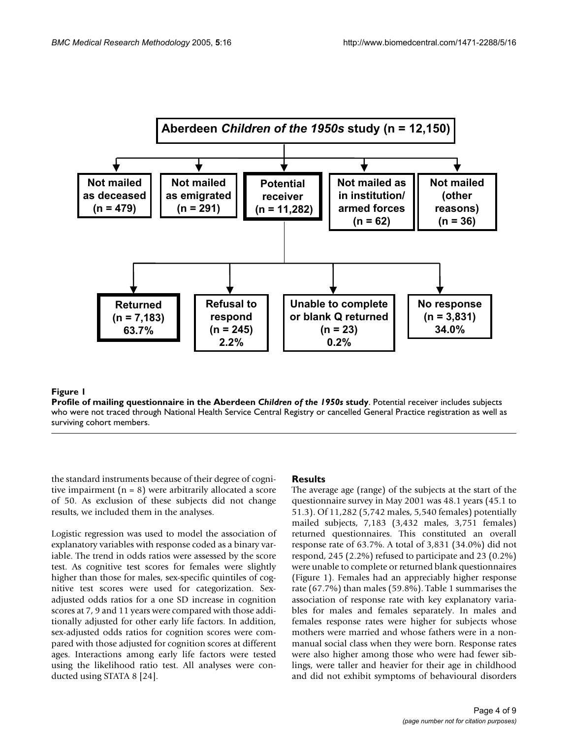<span id="page-3-0"></span>

#### Profile of mailing questionnaire in the Aberdeen **Figure 1** *Children of the 1950s* study

**Profile of mailing questionnaire in the Aberdeen** *Children of the 1950s* **study**. Potential receiver includes subjects who were not traced through National Health Service Central Registry or cancelled General Practice registration as well as surviving cohort members.

the standard instruments because of their degree of cognitive impairment (n = 8) were arbitrarily allocated a score of 50. As exclusion of these subjects did not change results, we included them in the analyses.

Logistic regression was used to model the association of explanatory variables with response coded as a binary variable. The trend in odds ratios were assessed by the score test. As cognitive test scores for females were slightly higher than those for males, sex-specific quintiles of cognitive test scores were used for categorization. Sexadjusted odds ratios for a one SD increase in cognition scores at 7, 9 and 11 years were compared with those additionally adjusted for other early life factors. In addition, sex-adjusted odds ratios for cognition scores were compared with those adjusted for cognition scores at different ages. Interactions among early life factors were tested using the likelihood ratio test. All analyses were conducted using STATA 8 [24].

#### **Results**

The average age (range) of the subjects at the start of the questionnaire survey in May 2001 was 48.1 years (45.1 to 51.3). Of 11,282 (5,742 males, 5,540 females) potentially mailed subjects, 7,183 (3,432 males, 3,751 females) returned questionnaires. This constituted an overall response rate of 63.7%. A total of 3,831 (34.0%) did not respond, 245 (2.2%) refused to participate and 23 (0.2%) were unable to complete or returned blank questionnaires (Figure [1](#page-3-0)). Females had an appreciably higher response rate (67.7%) than males (59.8%). Table [1](#page-4-0) summarises the association of response rate with key explanatory variables for males and females separately. In males and females response rates were higher for subjects whose mothers were married and whose fathers were in a nonmanual social class when they were born. Response rates were also higher among those who were had fewer siblings, were taller and heavier for their age in childhood and did not exhibit symptoms of behavioural disorders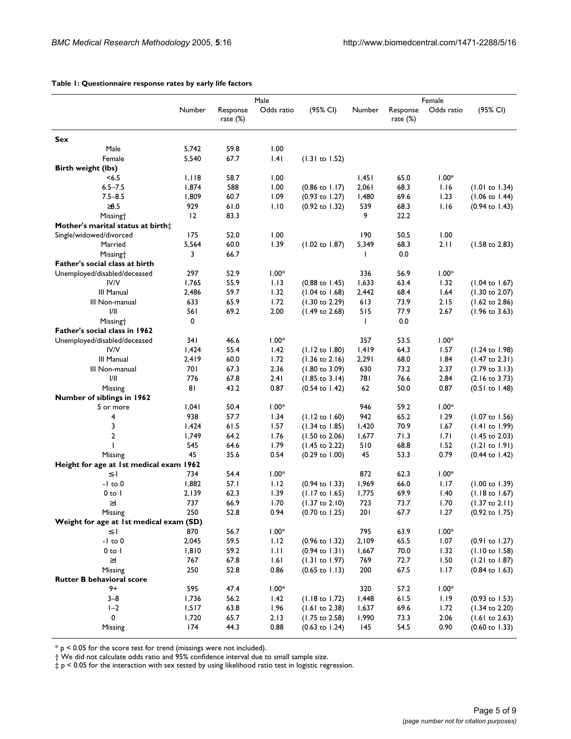|                                         | Number | Response<br>rate $(\%)$ | Male<br>Odds ratio | (95% CI)                  | Number | Response<br>rate (%) | Female<br>Odds ratio | (95% CI)                  |  |  |  |
|-----------------------------------------|--------|-------------------------|--------------------|---------------------------|--------|----------------------|----------------------|---------------------------|--|--|--|
| Sex                                     |        |                         |                    |                           |        |                      |                      |                           |  |  |  |
| Male                                    | 5,742  | 59.8                    | 1.00               |                           |        |                      |                      |                           |  |  |  |
| Female                                  | 5,540  | 67.7                    | .4                 | (1.31 to 1.52)            |        |                      |                      |                           |  |  |  |
| <b>Birth weight (lbs)</b>               |        |                         |                    |                           |        |                      |                      |                           |  |  |  |
| < 6.5                                   | 1,118  | 58.7                    | 1.00               |                           | 1,451  | 65.0                 | $1.00*$              |                           |  |  |  |
| $6.5 - 7.5$                             | 1,874  | 588                     | 1.00               | $(0.86 \text{ to } 1.17)$ | 2,061  | 68.3                 | 1.16                 | $(1.01 \text{ to } 1.34)$ |  |  |  |
| $7.5 - 8.5$                             | 1,809  | 60.7                    | 1.09               | $(0.93$ to $1.27)$        | I,480  | 69.6                 | 1.23                 | $(1.06 \text{ to } 1.44)$ |  |  |  |
| $\geq 8.5$                              | 929    | 61.0                    | 1.10               | (0.92 to 1.32)            | 539    | 68.3                 | 1.16                 | $(0.94 \text{ to } 1.43)$ |  |  |  |
| Missing <sup>+</sup>                    | 12     | 83.3                    |                    |                           | 9      | 22.2                 |                      |                           |  |  |  |
| Mother's marital status at birth‡       |        |                         |                    |                           |        |                      |                      |                           |  |  |  |
| Single/widowed/divorced                 | 175    | 52.0                    | 1.00               |                           | 190    | 50.5                 | 1.00                 |                           |  |  |  |
| Married                                 | 5,564  | 60.0                    | 1.39               | (1.02 to 1.87)            | 5,349  | 68.3                 | 2.11                 | $(1.58 \text{ to } 2.83)$ |  |  |  |
| Missing <sup>+</sup>                    | 3      | 66.7                    |                    |                           | L      | 0.0                  |                      |                           |  |  |  |
| Father's social class at birth          |        |                         |                    |                           |        |                      |                      |                           |  |  |  |
| Unemployed/disabled/deceased            | 297    | 52.9                    | $1.00*$            |                           | 336    | 56.9                 | $1.00*$              |                           |  |  |  |
| IV/V                                    | 1,765  | 55.9                    | 1.13               | $(0.88 \text{ to } 1.45)$ | 1,633  | 63.4                 | 1.32                 | $(1.04 \text{ to } 1.67)$ |  |  |  |
| III Manual                              |        | 59.7                    | 1.32               |                           |        | 68.4                 | 1.64                 |                           |  |  |  |
|                                         | 2,486  |                         |                    | $(1.04 \text{ to } 1.68)$ | 2,442  |                      |                      | $(1.30 \text{ to } 2.07)$ |  |  |  |
| III Non-manual<br>1/11                  | 633    | 65.9                    | 1.72               | $(1.30 \text{ to } 2.29)$ | 613    | 73.9                 | 2.15                 | $(1.62 \text{ to } 2.86)$ |  |  |  |
|                                         | 561    | 69.2                    | 2.00               | $(1.49 \text{ to } 2.68)$ | 515    | 77.9                 | 2.67                 | $(1.96 \text{ to } 3.63)$ |  |  |  |
| Missing <sup>+</sup>                    | 0      |                         |                    |                           | L      | 0.0                  |                      |                           |  |  |  |
| Father's social class in 1962           |        |                         |                    |                           |        |                      |                      |                           |  |  |  |
| Unemployed/disabled/deceased            | 341    | 46.6                    | $1.00*$            |                           | 357    | 53.5                 | $1.00*$              |                           |  |  |  |
| IV/V                                    | 1,424  | 55.4                    | 1.42               | (1.12 to 1.80)            | 1,419  | 64.3                 | 1.57                 | $(1.24 \text{ to } 1.98)$ |  |  |  |
| <b>III Manual</b>                       | 2,419  | 60.0                    | 1.72               | $(1.36 \text{ to } 2.16)$ | 2,291  | 68.0                 | 1.84                 | $(1.47 \text{ to } 2.31)$ |  |  |  |
| III Non-manual                          | 701    | 67.3                    | 2.36               | $(1.80 \text{ to } 3.09)$ | 630    | 73.2                 | 2.37                 | $(1.79 \text{ to } 3.13)$ |  |  |  |
| 1/11                                    | 776    | 67.8                    | 2.41               | $(1.85 \text{ to } 3.14)$ | 781    | 76.6                 | 2.84                 | $(2.16 \text{ to } 3.73)$ |  |  |  |
| Missing                                 | 81     | 43.2                    | 0.87               | $(0.54 \text{ to } 1.42)$ | 62     | 50.0                 | 0.87                 | $(0.51$ to $1.48)$        |  |  |  |
| Number of siblings in 1962              |        |                         |                    |                           |        |                      |                      |                           |  |  |  |
| 5 or more                               | 1,041  | 50.4                    | $1.00*$            |                           | 946    | 59.2                 | $1.00*$              |                           |  |  |  |
| 4                                       | 938    | 57.7                    | 1.34               | $(1.12 \text{ to } 1.60)$ | 942    | 65.2                 | 1.29                 | $(1.07 \text{ to } 1.56)$ |  |  |  |
| 3                                       | 1,424  | 61.5                    | 1.57               | $(1.34 \text{ to } 1.85)$ | 1,420  | 70.9                 | 1.67                 | $(1.41 \text{ to } 1.99)$ |  |  |  |
| 2                                       | 1,749  | 64.2                    | 1.76               | $(1.50 \text{ to } 2.06)$ | 1,677  | 71.3                 | 1.71                 | $(1.45 \text{ to } 2.03)$ |  |  |  |
|                                         | 545    | 64.6                    | 1.79               | (1.45 to 2.22)            | 510    | 68.8                 | 1.52                 | (1.21 to 1.91)            |  |  |  |
| Missing                                 | 45     | 35.6                    | 0.54               | $(0.29 \text{ to } 1.00)$ | 45     | 53.3                 | 0.79                 | (0.44 to 1.42)            |  |  |  |
| Height for age at 1st medical exam 1962 |        |                         |                    |                           |        |                      |                      |                           |  |  |  |
| $\leq$ -                                | 734    | 54.4                    | $1.00*$            |                           | 872    | 62.3                 | $1.00*$              |                           |  |  |  |
| $-1$ to 0                               | 1,882  | 57.1                    | 1.12               | $(0.94 \text{ to } 1.33)$ | 1,969  | 66.0                 | 1.17                 | $(1.00 \text{ to } 1.39)$ |  |  |  |
| $0$ to $ $                              | 2,139  | 62.3                    | 1.39               | $(1.17 \text{ to } 1.65)$ | 1,775  | 69.9                 | 1.40                 | $(1.18 \text{ to } 1.67)$ |  |  |  |
| $\geq$                                  | 737    | 66.9                    | 1.70               | $(1.37$ to $2.10)$        | 723    | 73.7                 | 1.70                 | $(1.37$ to $2.11)$        |  |  |  |
| Missing                                 | 250    | 52.8                    | 0.94               | $(0.70 \text{ to } 1.25)$ | 201    | 67.7                 | 1.27                 | $(0.92 \text{ to } 1.75)$ |  |  |  |
| Weight for age at 1st medical exam (SD) |        |                         |                    |                           |        |                      |                      |                           |  |  |  |
| $\leq$ - $\vert$                        | 870    | 56.7                    | $1.00*$            |                           | 795    | 63.9                 | $1.00*$              |                           |  |  |  |
| $-1$ to $0$                             | 2,045  | 59.5                    | 1.12               | $(0.96 \text{ to } 1.32)$ | 2,109  | 65.5                 | 1.07                 | $(0.91$ to $1.27)$        |  |  |  |
| $0$ to $ $                              | 1,810  | 59.2                    | 1.11               | $(0.94 \text{ to } 1.31)$ | 1,667  | 70.0                 | 1.32                 | $(1.10 \text{ to } 1.58)$ |  |  |  |
| $\geq$                                  | 767    | 67.8                    | 1.61               | $(1.31$ to $1.97)$        | 769    | 72.7                 | 1.50                 | (1.21 to 1.87)            |  |  |  |
| Missing                                 | 250    | 52.8                    | 0.86               | $(0.65 \text{ to } 1.13)$ | 200    | 67.5                 | 1.17                 | $(0.84 \text{ to } 1.63)$ |  |  |  |
| <b>Rutter B behavioral score</b>        |        |                         |                    |                           |        |                      |                      |                           |  |  |  |
| $9+$                                    | 595    | 47.4                    | $1.00*$            |                           | 320    | 57.2                 | $1.00*$              |                           |  |  |  |
| $3 - 8$                                 | 1,736  | 56.2                    | 1.42               | $(1.18 \text{ to } 1.72)$ | 1,448  | 61.5                 | 1.19                 | $(0.93 \text{ to } 1.53)$ |  |  |  |
| $I-2$                                   | 1,517  | 63.8                    | 1.96               | (1.61 to 2.38)            | 1,637  | 69.6                 | 1.72                 | $(1.34 \text{ to } 2.20)$ |  |  |  |
| 0                                       | 1,720  | 65.7                    | 2.13               | $(1.75 \text{ to } 2.58)$ | 1,990  | 73.3                 | 2.06                 | (1.61 to 2.63)            |  |  |  |
| Missing                                 | 174    | 44.3                    | 0.88               | $(0.63 \text{ to } 1.24)$ | 145    | 54.5                 | 0.90                 | $(0.60 \text{ to } 1.33)$ |  |  |  |
|                                         |        |                         |                    |                           |        |                      |                      |                           |  |  |  |

#### <span id="page-4-0"></span>**Table 1: Questionnaire response rates by early life factors**

 $^*$  p < 0.05 for the score test for trend (missings were not included).

† We did not calculate odds ratio and 95% confidence interval due to small sample size.

 $\ddagger$  p < 0.05 for the interaction with sex tested by using likelihood ratio test in logistic regression.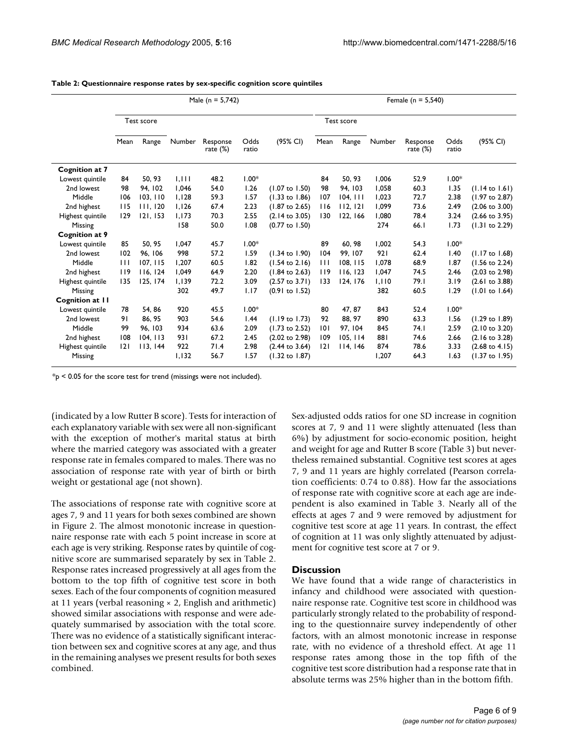|                  | Male ( $n = 5,742$ ) |            |        |                         |               |                           | Female ( $n = 5,540$ ) |            |        |                         |               |                           |  |
|------------------|----------------------|------------|--------|-------------------------|---------------|---------------------------|------------------------|------------|--------|-------------------------|---------------|---------------------------|--|
|                  |                      | Test score |        |                         |               |                           |                        | Test score |        |                         |               |                           |  |
|                  | Mean                 | Range      | Number | Response<br>rate $(\%)$ | Odds<br>ratio | (95% CI)                  | Mean                   | Range      | Number | Response<br>rate $(\%)$ | Odds<br>ratio | (95% CI)                  |  |
| Cognition at 7   |                      |            |        |                         |               |                           |                        |            |        |                         |               |                           |  |
| Lowest quintile  | 84                   | 50, 93     | 1.111  | 48.2                    | $1.00*$       |                           | 84                     | 50.93      | 1,006  | 52.9                    | $1.00*$       |                           |  |
| 2nd lowest       | 98                   | 94.102     | 1.046  | 54.0                    | 1.26          | $(1.07 \text{ to } 1.50)$ | 98                     | 94, 103    | 1,058  | 60.3                    | 1.35          | $(1.14 \text{ to } 1.61)$ |  |
| Middle           | 106                  | 103, 110   | 1,128  | 59.3                    | 1.57          | $(1.33 \text{ to } 1.86)$ | 107                    | 104, 111   | 1,023  | 72.7                    | 2.38          | (1.97 to 2.87)            |  |
| 2nd highest      | 115                  | 111.120    | 1.126  | 67.4                    | 2.23          | $(1.87 \text{ to } 2.65)$ | 116                    | 112.121    | 1,099  | 73.6                    | 2.49          | $(2.06 \text{ to } 3.00)$ |  |
| Highest quintile | 129                  | 121, 153   | 1,173  | 70.3                    | 2.55          | $(2.14 \text{ to } 3.05)$ | 130                    | 122, 166   | 1,080  | 78.4                    | 3.24          | $(2.66 \text{ to } 3.95)$ |  |
| Missing          |                      |            | 158    | 50.0                    | 1.08          | $(0.77$ to $1.50)$        |                        |            | 274    | 66.1                    | 1.73          | $(1.31$ to 2.29)          |  |
| Cognition at 9   |                      |            |        |                         |               |                           |                        |            |        |                         |               |                           |  |
| Lowest quintile  | 85                   | 50, 95     | 1.047  | 45.7                    | $1.00*$       |                           | 89                     | 60, 98     | 1,002  | 54.3                    | $1.00*$       |                           |  |
| 2nd lowest       | 102                  | 96.106     | 998    | 57.2                    | 1.59          | $(1.34 \text{ to } 1.90)$ | 104                    | 99.107     | 921    | 62.4                    | 1.40          | $(1.17 \text{ to } 1.68)$ |  |
| Middle           | $\perp$              | 107, 115   | 1.207  | 60.5                    | 1.82          | $(1.54 \text{ to } 2.16)$ | $\perp$                | 108, 115   | 1,078  | 68.9                    | 1.87          | $(1.56 \text{ to } 2.24)$ |  |
| 2nd highest      | 119                  | 116.124    | 1.049  | 64.9                    | 2.20          | $(1.84 \text{ to } 2.63)$ | 119                    | 116, 123   | 1.047  | 74.5                    | 2.46          | $(2.03 \text{ to } 2.98)$ |  |
| Highest quintile | 135                  | 125, 174   | 1,139  | 72.2                    | 3.09          | $(2.57$ to $3.71)$        | 133                    | 124, 176   | 1,110  | 79.I                    | 3.19          | $(2.61$ to $3.88)$        |  |
| Missing          |                      |            | 302    | 49.7                    | 1.17          | $(0.91$ to $1.52)$        |                        |            | 382    | 60.5                    | 1.29          | (1.01 to 1.64)            |  |
| Cognition at II  |                      |            |        |                         |               |                           |                        |            |        |                         |               |                           |  |
| Lowest quintile  | 78                   | 54, 86     | 920    | 45.5                    | $1.00*$       |                           | 80                     | 47, 87     | 843    | 52.4                    | $1.00*$       |                           |  |
| 2nd lowest       | 91                   | 86, 95     | 903    | 54.6                    | 1.44          | $(1.19 \text{ to } 1.73)$ | 92                     | 88, 97     | 890    | 63.3                    | 1.56          | $(1.29 \text{ to } 1.89)$ |  |
| Middle           | 99                   | 96.103     | 934    | 63.6                    | 2.09          | $(1.73$ to 2.52)          | 101                    | 97.104     | 845    | 74.1                    | 2.59          | $(2.10 \text{ to } 3.20)$ |  |
| 2nd highest      | 108                  | 104, 113   | 931    | 67.2                    | 2.45          | $(2.02 \text{ to } 2.98)$ | 109                    | 105, 114   | 881    | 74.6                    | 2.66          | $(2.16 \text{ to } 3.28)$ |  |
| Highest quintile | 2                    | 113, 144   | 922    | 71.4                    | 2.98          | $(2.44 \text{ to } 3.64)$ | 2                      | 114, 146   | 874    | 78.6                    | 3.33          | $(2.68 \text{ to } 4.15)$ |  |
| Missing          |                      |            | 1,132  | 56.7                    | 1.57          | $(1.32 \text{ to } 1.87)$ |                        |            | 1,207  | 64.3                    | 1.63          | $(1.37 \text{ to } 1.95)$ |  |

<span id="page-5-0"></span>**Table 2: Questionnaire response rates by sex-specific cognition score quintiles**

 $*_{p}$  < 0.05 for the score test for trend (missings were not included).

(indicated by a low Rutter B score). Tests for interaction of each explanatory variable with sex were all non-significant with the exception of mother's marital status at birth where the married category was associated with a greater response rate in females compared to males. There was no association of response rate with year of birth or birth weight or gestational age (not shown).

The associations of response rate with cognitive score at ages 7, 9 and 11 years for both sexes combined are shown in Figure [2](#page-6-0). The almost monotonic increase in questionnaire response rate with each 5 point increase in score at each age is very striking. Response rates by quintile of cognitive score are summarised separately by sex in Table [2.](#page-5-0) Response rates increased progressively at all ages from the bottom to the top fifth of cognitive test score in both sexes. Each of the four components of cognition measured at 11 years (verbal reasoning  $\times$  2, English and arithmetic) showed similar associations with response and were adequately summarised by association with the total score. There was no evidence of a statistically significant interaction between sex and cognitive scores at any age, and thus in the remaining analyses we present results for both sexes combined.

Sex-adjusted odds ratios for one SD increase in cognition scores at 7, 9 and 11 were slightly attenuated (less than 6%) by adjustment for socio-economic position, height and weight for age and Rutter B score (Table [3](#page-6-1)) but nevertheless remained substantial. Cognitive test scores at ages 7, 9 and 11 years are highly correlated (Pearson correlation coefficients: 0.74 to 0.88). How far the associations of response rate with cognitive score at each age are independent is also examined in Table [3.](#page-6-1) Nearly all of the effects at ages 7 and 9 were removed by adjustment for cognitive test score at age 11 years. In contrast, the effect of cognition at 11 was only slightly attenuated by adjustment for cognitive test score at 7 or 9.

#### **Discussion**

We have found that a wide range of characteristics in infancy and childhood were associated with questionnaire response rate. Cognitive test score in childhood was particularly strongly related to the probability of responding to the questionnaire survey independently of other factors, with an almost monotonic increase in response rate, with no evidence of a threshold effect. At age 11 response rates among those in the top fifth of the cognitive test score distribution had a response rate that in absolute terms was 25% higher than in the bottom fifth.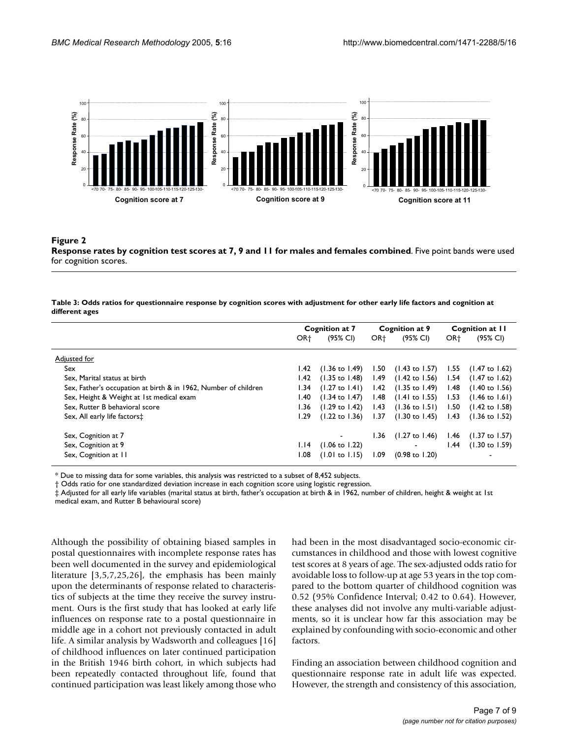<span id="page-6-0"></span>

#### Response rates by cognition test scores at **Figure 2** 7, 9 and 11 for males and females combined **Response rates by cognition test scores at 7, 9 and 11 for males and females combined**. Five point bands were used for cognition scores.

#### <span id="page-6-1"></span>**Table 3: Odds ratios for questionnaire response by cognition scores with adjustment for other early life factors and cognition at different ages**

|                                                                 | Cognition at 7  |                           | Cognition at 9  |                                                          | Cognition at 11 |                           |
|-----------------------------------------------------------------|-----------------|---------------------------|-----------------|----------------------------------------------------------|-----------------|---------------------------|
|                                                                 | OR <sup>+</sup> | (95% CI)                  | OR <sup>+</sup> | (95% CI)                                                 | OR <sup>+</sup> | (95% CI)                  |
| Adjusted for                                                    |                 |                           |                 |                                                          |                 |                           |
| Sex                                                             | 1.42            | (1.36 to 1.49)            | 1.50            | $(1.43 \text{ to } 1.57)$ 1.55 $(1.47 \text{ to } 1.62)$ |                 |                           |
| Sex. Marital status at birth                                    | l.42            | (1.35 to 1.48)            |                 | 1.49 (1.42 to 1.56) 1.54 (1.47 to 1.62)                  |                 |                           |
| Sex, Father's occupation at birth & in 1962, Number of children | I.34            | $(1.27 \text{ to } 1.41)$ | 1.42            | (1.35 to 1.49)                                           | l.48            | (1.40 to 1.56)            |
| Sex, Height & Weight at 1st medical exam                        | l.40            | $(1.34 \text{ to } 1.47)$ | l.48            | $(1.41 \text{ to } 1.55)$ 1.53                           |                 | (1.46 to 1.61)            |
| Sex, Rutter B behavioral score                                  | 1.36            | $(1.29 \text{ to } 1.42)$ | 1.43            | (1.36 to 1.51) 1.50                                      |                 | (1.42 to 1.58)            |
| Sex, All early life factors <sup>+</sup>                        | I.29            | $(1.22 \text{ to } 1.36)$ | 1.37            | $(1.30 \text{ to } 1.45)$                                | 1.43            | $(1.36 \text{ to } 1.52)$ |
| Sex, Cognition at 7                                             |                 |                           | 1.36            | (1.27 to 1.46)                                           |                 | $1.46$ (1.37 to 1.57)     |
| Sex, Cognition at 9                                             | 1.14            | $(1.06 \text{ to } 1.22)$ |                 | $\blacksquare$                                           | 1.44            | $(1.30 \text{ to } 1.59)$ |
| Sex, Cognition at II                                            | 1.08            | $(1.01 \text{ to } 1.15)$ | 1.09            | $(0.98 \text{ to } 1.20)$                                |                 | $\blacksquare$            |

\* Due to missing data for some variables, this analysis was restricted to a subset of 8,452 subjects.

† Odds ratio for one standardized deviation increase in each cognition score using logistic regression.

‡ Adjusted for all early life variables (marital status at birth, father's occupation at birth & in 1962, number of children, height & weight at 1st medical exam, and Rutter B behavioural score)

Although the possibility of obtaining biased samples in postal questionnaires with incomplete response rates has been well documented in the survey and epidemiological literature [3,5,7,25,26], the emphasis has been mainly upon the determinants of response related to characteristics of subjects at the time they receive the survey instrument. Ours is the first study that has looked at early life influences on response rate to a postal questionnaire in middle age in a cohort not previously contacted in adult life. A similar analysis by Wadsworth and colleagues [16] of childhood influences on later continued participation in the British 1946 birth cohort, in which subjects had been repeatedly contacted throughout life, found that continued participation was least likely among those who

had been in the most disadvantaged socio-economic circumstances in childhood and those with lowest cognitive test scores at 8 years of age. The sex-adjusted odds ratio for avoidable loss to follow-up at age 53 years in the top compared to the bottom quarter of childhood cognition was 0.52 (95% Confidence Interval; 0.42 to 0.64). However, these analyses did not involve any multi-variable adjustments, so it is unclear how far this association may be explained by confounding with socio-economic and other factors.

Finding an association between childhood cognition and questionnaire response rate in adult life was expected. However, the strength and consistency of this association,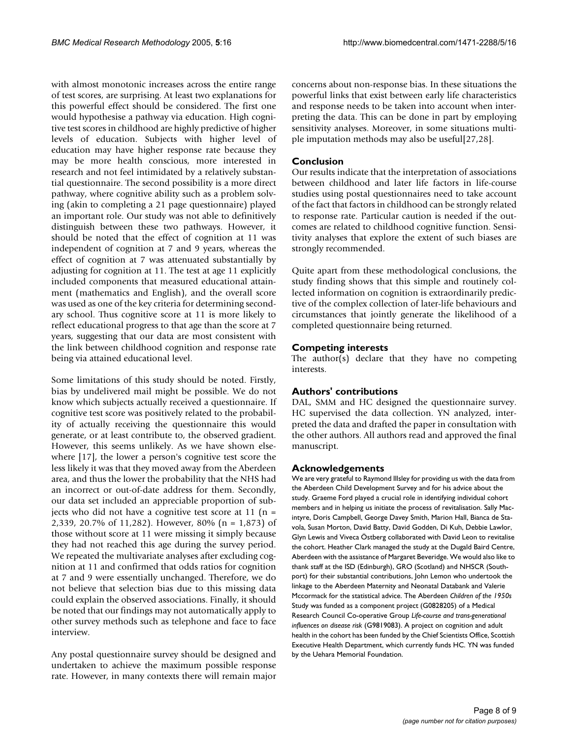with almost monotonic increases across the entire range of test scores, are surprising. At least two explanations for this powerful effect should be considered. The first one would hypothesise a pathway via education. High cognitive test scores in childhood are highly predictive of higher levels of education. Subjects with higher level of education may have higher response rate because they may be more health conscious, more interested in research and not feel intimidated by a relatively substantial questionnaire. The second possibility is a more direct pathway, where cognitive ability such as a problem solving (akin to completing a 21 page questionnaire) played an important role. Our study was not able to definitively distinguish between these two pathways. However, it should be noted that the effect of cognition at 11 was independent of cognition at 7 and 9 years, whereas the effect of cognition at 7 was attenuated substantially by adjusting for cognition at 11. The test at age 11 explicitly included components that measured educational attainment (mathematics and English), and the overall score was used as one of the key criteria for determining secondary school. Thus cognitive score at 11 is more likely to reflect educational progress to that age than the score at 7 years, suggesting that our data are most consistent with the link between childhood cognition and response rate being via attained educational level.

Some limitations of this study should be noted. Firstly, bias by undelivered mail might be possible. We do not know which subjects actually received a questionnaire. If cognitive test score was positively related to the probability of actually receiving the questionnaire this would generate, or at least contribute to, the observed gradient. However, this seems unlikely. As we have shown elsewhere [17], the lower a person's cognitive test score the less likely it was that they moved away from the Aberdeen area, and thus the lower the probability that the NHS had an incorrect or out-of-date address for them. Secondly, our data set included an appreciable proportion of subjects who did not have a cognitive test score at  $11$  (n = 2,339, 20.7% of 11,282). However, 80% (n = 1,873) of those without score at 11 were missing it simply because they had not reached this age during the survey period. We repeated the multivariate analyses after excluding cognition at 11 and confirmed that odds ratios for cognition at 7 and 9 were essentially unchanged. Therefore, we do not believe that selection bias due to this missing data could explain the observed associations. Finally, it should be noted that our findings may not automatically apply to other survey methods such as telephone and face to face interview.

Any postal questionnaire survey should be designed and undertaken to achieve the maximum possible response rate. However, in many contexts there will remain major concerns about non-response bias. In these situations the powerful links that exist between early life characteristics and response needs to be taken into account when interpreting the data. This can be done in part by employing sensitivity analyses. Moreover, in some situations multiple imputation methods may also be useful[27,28].

#### **Conclusion**

Our results indicate that the interpretation of associations between childhood and later life factors in life-course studies using postal questionnaires need to take account of the fact that factors in childhood can be strongly related to response rate. Particular caution is needed if the outcomes are related to childhood cognitive function. Sensitivity analyses that explore the extent of such biases are strongly recommended.

Quite apart from these methodological conclusions, the study finding shows that this simple and routinely collected information on cognition is extraordinarily predictive of the complex collection of later-life behaviours and circumstances that jointly generate the likelihood of a completed questionnaire being returned.

#### **Competing interests**

The author(s) declare that they have no competing interests.

#### **Authors' contributions**

DAL, SMM and HC designed the questionnaire survey. HC supervised the data collection. YN analyzed, interpreted the data and drafted the paper in consultation with the other authors. All authors read and approved the final manuscript.

#### **Acknowledgements**

We are very grateful to Raymond Illsley for providing us with the data from the Aberdeen Child Development Survey and for his advice about the study. Graeme Ford played a crucial role in identifying individual cohort members and in helping us initiate the process of revitalisation. Sally Macintyre, Doris Campbell, George Davey Smith, Marion Hall, Bianca de Stavola, Susan Morton, David Batty, David Godden, Di Kuh, Debbie Lawlor, Glyn Lewis and Viveca Östberg collaborated with David Leon to revitalise the cohort. Heather Clark managed the study at the Dugald Baird Centre, Aberdeen with the assistance of Margaret Beveridge. We would also like to thank staff at the ISD (Edinburgh), GRO (Scotland) and NHSCR (Southport) for their substantial contributions, John Lemon who undertook the linkage to the Aberdeen Maternity and Neonatal Databank and Valerie Mccormack for the statistical advice. The Aberdeen *Children of the 1950s*  Study was funded as a component project (G0828205) of a Medical Research Council Co-operative Group *Life-course and trans-generational influences on disease risk* (G9819083). A project on cognition and adult health in the cohort has been funded by the Chief Scientists Office, Scottish Executive Health Department, which currently funds HC. YN was funded by the Uehara Memorial Foundation.